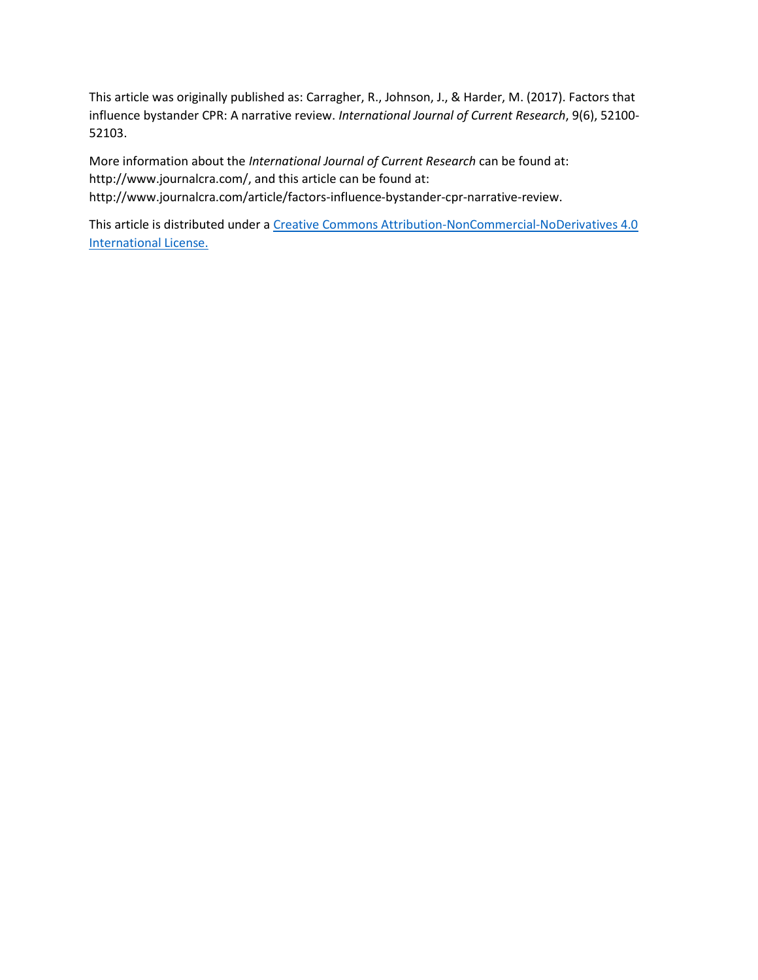This article was originally published as: Carragher, R., Johnson, J., & Harder, M. (2017). Factors that influence bystander CPR: A narrative review. *International Journal of Current Research*, 9(6), 52100- 52103.

More information about the *International Journal of Current Research* can be found at: http://www.journalcra.com/, and this article can be found at: http://www.journalcra.com/article/factors-influence-bystander-cpr-narrative-review.

This article is distributed under a Creative Commons Attribution-NonCommercial-NoDerivatives 4.0 [International License.](https://creativecommons.org/licenses/by-nc-nd/4.0/legalcode)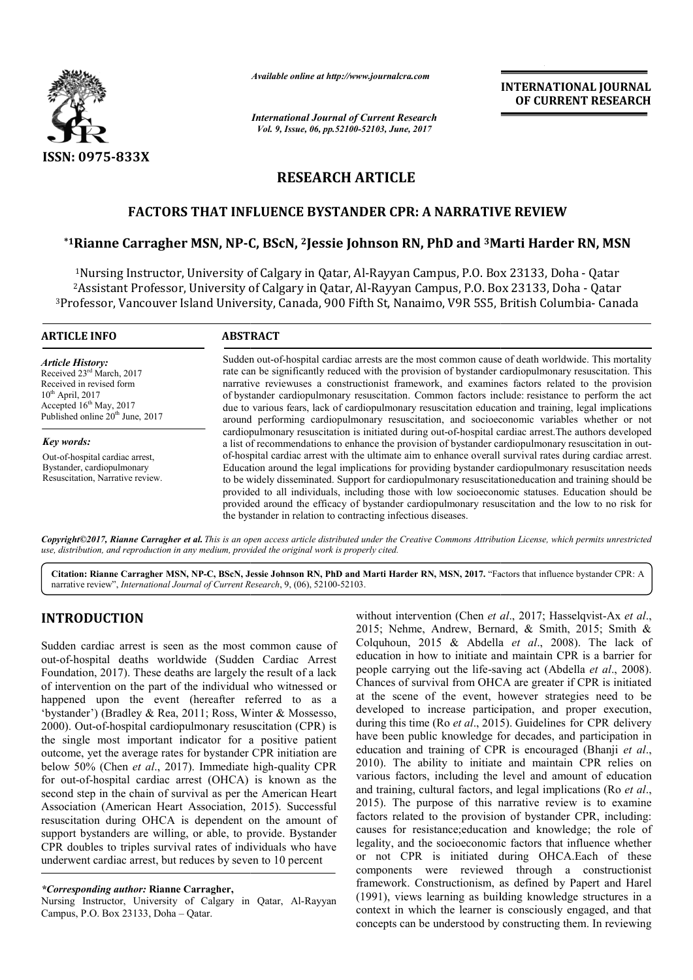

*Available online at http://www.journalcra.com*

*International Journal of Current Research Vol. 9, Issue, 06, pp.52100-52103, June, 2017*

**INTERNATIONAL JOURNAL OF CURRENT RESEARCH** 

# **RESEARCH ARTICLE**

## **FACTORS THAT INFLUENCE BYSTANDER CPR: A NARRATIVE REVIEW**

## $^{\ast}$ 1Rianne Carragher MSN, NP-C, BScN, <sup>2</sup>Jessie Johnson RN, PhD and <sup>3</sup>Marti Harder RN, MSN

<sup>1</sup>Nursing Instructor, University of Calgary in Qatar, Al-Rayyan Campus, P.O. Box 23133, Doha - Qatar <sup>2</sup>Assistant Professor, University of Calgary in Qatar, Al-Rayyan Campus, P.O. Box 23133, Doha - Qatar <sup>3</sup>Professor, Vancouver Island University, Canada, 900 Fifth St, Nanaimo, V9R 5S5, British Columbia- Canada

#### **ARTICLE INFO ABSTRACT**

*Article History:* Received 23rd March, 2017 Received in revised form  $10^{th}$  April, 2017 Accepted 16<sup>th</sup> May, 2017 Published online 20<sup>th</sup> June, 2017

*Key words:* Out-of-hospital cardiac arrest, Bystander, cardiopulmonary Resuscitation, Narrative review.

Sudden out-of-hospital cardiac arrests are the most common cause of death worldwide. This mortality rate can be significantly reduced with the provision of bystander cardiopulmonary resuscitation. This narrative reviewuses a constructionist framework, and examines factors related to the provision of bystander cardiopulmonary resuscitation. Common factors include: due to various fears, lack of cardiopulmonary resuscitation education and training, legal implications due to various fears, lack of cardiopulmonary resuscitation education and training, legal implications around performing cardiopulmonary resuscitation, and socioeconomic variables whether or not cardiopulmonary resuscitation is initiated during out-of-hospital cardiac arrest. The authors developed a list of recommendations to enhance the provision of bystander cardiopulmonary resuscitation in outof-hospital cardiac arrest with the ultimate aim to enhance overall survival rates during cardiac arrest. Education around the legal implications for providing bystander cardiopulmonary resuscitation needs to be widely disseminated. Support for cardiopulmonary resuscitationeducation and training should be provided to all individuals, including those with low socioeconomic statuses. Education should be provided around the efficacy of bystander cardiopulmonary resuscitation and the low to no risk for the bystander in relation to contracting infectious diseases. Sudden out-of-hospital cardiac arrests are the most common cause of death worldwide. This mortality rate can be significantly reduced with the provision of bystander cardiopulmonary resuscitation. This narrative reviewuses

*Copyright©2017, Rianne Carragher et al. This is an open access article distributed under the Creative Commons Att Attribution License, which ribution License, permits unrestricted use, distribution, and reproduction in any medium, provided the original work is properly cited.*

Citation: Rianne Carragher MSN, NP-C, BScN, Jessie Johnson RN, PhD and Marti Harder RN, MSN, 2017. "Factors that influence bystander CPR: A narrative review", *International Journal of Current Research* , 9, (06), 52100-52103.

## **INTRODUCTION**

Sudden cardiac arrest is seen as the most common cause of out-of-hospital deaths worldwide (Sudden Cardiac Arrest Foundation, 2017). These deaths are largely the result of a lack of intervention on the part of the individual who witnessed or happened upon the event (hereafter referred to as a 'bystander') (Bradley & Rea, 2011; Ross, Winter & Mossesso, 2000). Out-of-hospital cardiopulmonary resuscitation (CPR) is the single most important indicator for a positive patient outcome, yet the average rates for bystander CPR initiation are below 50% (Chen *et al*., 2017). Immediate high for out-of-hospital cardiac arrest (OHCA) is known as the second step in the chain of survival as per the American Heart for out-of-hospital cardiac arrest (OHCA) is known as the second step in the chain of survival as per the American Heart Association, 2015). Successful resuscitation during OHCA is dependent on the amount of support bystanders are willing, or able, to provide. Bystander CPR doubles to triples survival rates of individuals who have underwent cardiac arrest, but reduces by seven to 10 percent hospital cardiopulmonary resuscitation (CPR) is<br>bost important indicator for a positive patient<br>he average rates for bystander CPR initiation are<br>then *et al.*, 2017). Immediate high-quality CPR

Nursing Instructor, University of Calgary in Qatar, Al Al-Rayyan Campus, P.O. Box 23133, Doha – Qatar.

without intervention (Chen *et al.*, 2017; Hasselqvist-Ax *et al.*, 2015; Nehme, Andrew, Bernard,  $\&$  Smith, 2015; Smith  $\&$ Colquhoun, 2015 & Abdella *et al*., 2008). The lack of education in how to initiate and maintain CPR is a barrier for people carrying out the life-saving act (Abdella *et al.*, 2008). Chances of survival from OHCA are greater if CPR is initiated at the scene of the event, however strategies need to be Chances of survival from OHCA are greater if CPR is initiated at the scene of the event, however strategies need to be developed to increase participation, and proper execution, during this time (Ro *et al*., 2015). Guidelines for CPR delivery have been public knowledge for decades, and participation in education and training of CPR is encouraged (Bhanji *et al*., 2010). The ability to initiate and maintain CPR relies on various factors, including the level and amount of education various factors, including the level and amount of education and training, *cultural factors*, and legal implications (Ro *et al.*, 2015). The purpose of this narrative review is to examine factors related to the provision of bystander CPR, including: causes for resistance;education and knowledge; the role of legality, and the socioeconomic factors that influence whether 2015). The purpose of this narrative review is to examine factors related to the provision of bystander CPR, including: causes for resistance;education and knowledge; the role of legality, and the socioeconomic factors tha components were reviewed through a constructionist components were reviewed through a constructionist framework. Constructionism, as defined by Papert and Harel (1991), views learning as building knowledge structures in a context in which the learner is consciously engaged, and that concepts can be understood by constructing them. In reviewing **EXERVATIONAL JOURNAL EXERCTIONAL JOURNAL FORMAL FORMAL TOWNSHIPS (CHERENT RESEARCH CHERENT RESEARCH CHERENT RESEARCH CHERENT RESEARCH CHERENT RESEARCH CHERENT RESEARCH CHERENT RESEARCH CHERENT RESEARCH (CHERENT RESEARCH** 

*<sup>\*</sup>Corresponding author:* **Rianne Carragher,**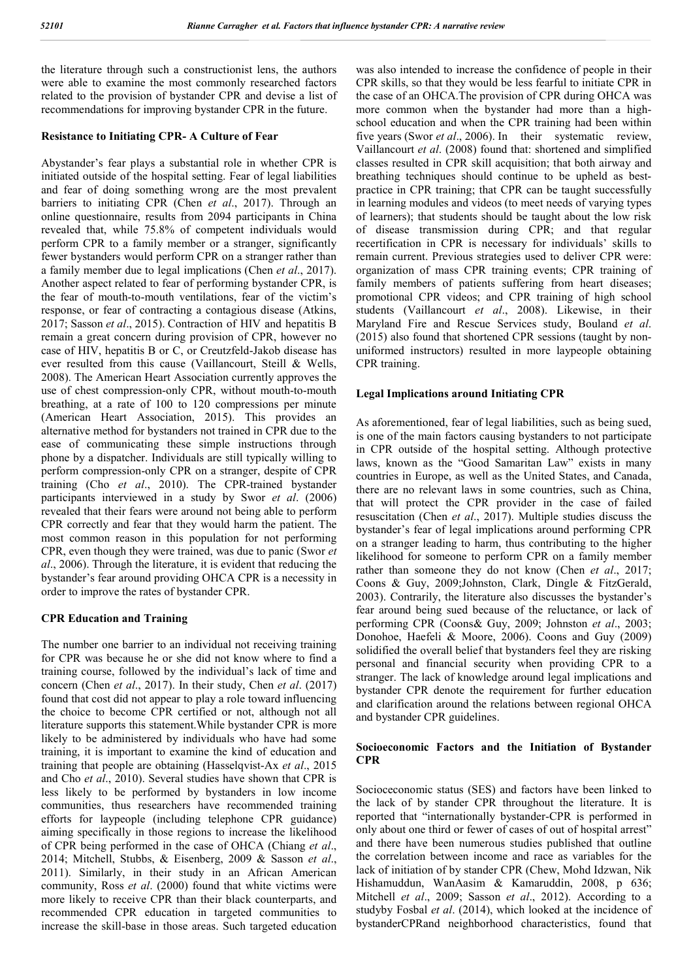the literature through such a constructionist lens, the authors were able to examine the most commonly researched factors related to the provision of bystander CPR and devise a list of recommendations for improving bystander CPR in the future.

#### **Resistance to Initiating CPR- A Culture of Fear**

Abystander's fear plays a substantial role in whether CPR is initiated outside of the hospital setting. Fear of legal liabilities and fear of doing something wrong are the most prevalent barriers to initiating CPR (Chen *et al*., 2017). Through an online questionnaire, results from 2094 participants in China revealed that, while 75.8% of competent individuals would perform CPR to a family member or a stranger, significantly fewer bystanders would perform CPR on a stranger rather than a family member due to legal implications (Chen *et al*., 2017). Another aspect related to fear of performing bystander CPR, is the fear of mouth-to-mouth ventilations, fear of the victim's response, or fear of contracting a contagious disease (Atkins, 2017; Sasson *et al*., 2015). Contraction of HIV and hepatitis B remain a great concern during provision of CPR, however no case of HIV, hepatitis B or C, or Creutzfeld-Jakob disease has ever resulted from this cause (Vaillancourt, Steill & Wells, 2008). The American Heart Association currently approves the use of chest compression-only CPR, without mouth-to-mouth breathing, at a rate of 100 to 120 compressions per minute (American Heart Association, 2015). This provides an alternative method for bystanders not trained in CPR due to the ease of communicating these simple instructions through phone by a dispatcher. Individuals are still typically willing to perform compression-only CPR on a stranger, despite of CPR training (Cho *et al*., 2010). The CPR-trained bystander participants interviewed in a study by Swor *et al*. (2006) revealed that their fears were around not being able to perform CPR correctly and fear that they would harm the patient. The most common reason in this population for not performing CPR, even though they were trained, was due to panic (Swor *et al*., 2006). Through the literature, it is evident that reducing the bystander's fear around providing OHCA CPR is a necessity in order to improve the rates of bystander CPR.

#### **CPR Education and Training**

The number one barrier to an individual not receiving training for CPR was because he or she did not know where to find a training course, followed by the individual's lack of time and concern (Chen *et al*., 2017). In their study, Chen *et al*. (2017) found that cost did not appear to play a role toward influencing the choice to become CPR certified or not, although not all literature supports this statement.While bystander CPR is more likely to be administered by individuals who have had some training, it is important to examine the kind of education and training that people are obtaining (Hasselqvist-Ax *et al*., 2015 and Cho *et al*., 2010). Several studies have shown that CPR is less likely to be performed by bystanders in low income communities, thus researchers have recommended training efforts for laypeople (including telephone CPR guidance) aiming specifically in those regions to increase the likelihood of CPR being performed in the case of OHCA (Chiang *et al*., 2014; Mitchell, Stubbs, & Eisenberg, 2009 & Sasson *et al*., 2011). Similarly, in their study in an African American community, Ross *et al*. (2000) found that white victims were more likely to receive CPR than their black counterparts, and recommended CPR education in targeted communities to increase the skill-base in those areas. Such targeted education was also intended to increase the confidence of people in their CPR skills, so that they would be less fearful to initiate CPR in the case of an OHCA.The provision of CPR during OHCA was more common when the bystander had more than a highschool education and when the CPR training had been within five years (Swor *et al.*, 2006). In their systematic review, Vaillancourt *et al*. (2008) found that: shortened and simplified classes resulted in CPR skill acquisition; that both airway and breathing techniques should continue to be upheld as bestpractice in CPR training; that CPR can be taught successfully in learning modules and videos (to meet needs of varying types of learners); that students should be taught about the low risk of disease transmission during CPR; and that regular recertification in CPR is necessary for individuals' skills to remain current. Previous strategies used to deliver CPR were: organization of mass CPR training events; CPR training of family members of patients suffering from heart diseases; promotional CPR videos; and CPR training of high school students (Vaillancourt *et al*., 2008). Likewise, in their Maryland Fire and Rescue Services study, Bouland *et al*. (2015) also found that shortened CPR sessions (taught by nonuniformed instructors) resulted in more laypeople obtaining CPR training.

#### **Legal Implications around Initiating CPR**

As aforementioned, fear of legal liabilities, such as being sued, is one of the main factors causing bystanders to not participate in CPR outside of the hospital setting. Although protective laws, known as the "Good Samaritan Law" exists in many countries in Europe, as well as the United States, and Canada, there are no relevant laws in some countries, such as China, that will protect the CPR provider in the case of failed resuscitation (Chen *et al*., 2017). Multiple studies discuss the bystander's fear of legal implications around performing CPR on a stranger leading to harm, thus contributing to the higher likelihood for someone to perform CPR on a family member rather than someone they do not know (Chen *et al*., 2017; Coons & Guy, 2009;Johnston, Clark, Dingle & FitzGerald, 2003). Contrarily, the literature also discusses the bystander's fear around being sued because of the reluctance, or lack of performing CPR (Coons& Guy, 2009; Johnston *et al*., 2003; Donohoe, Haefeli & Moore, 2006). Coons and Guy (2009) solidified the overall belief that bystanders feel they are risking personal and financial security when providing CPR to a stranger. The lack of knowledge around legal implications and bystander CPR denote the requirement for further education and clarification around the relations between regional OHCA and bystander CPR guidelines.

### **Socioeconomic Factors and the Initiation of Bystander CPR**

Socioceconomic status (SES) and factors have been linked to the lack of by stander CPR throughout the literature. It is reported that "internationally bystander-CPR is performed in only about one third or fewer of cases of out of hospital arrest" and there have been numerous studies published that outline the correlation between income and race as variables for the lack of initiation of by stander CPR (Chew, Mohd Idzwan, Nik Hishamuddun, WanAasim & Kamaruddin, 2008, p 636; Mitchell *et al*., 2009; Sasson *et al*., 2012). According to a studyby Fosbal *et al*. (2014), which looked at the incidence of bystanderCPRand neighborhood characteristics, found that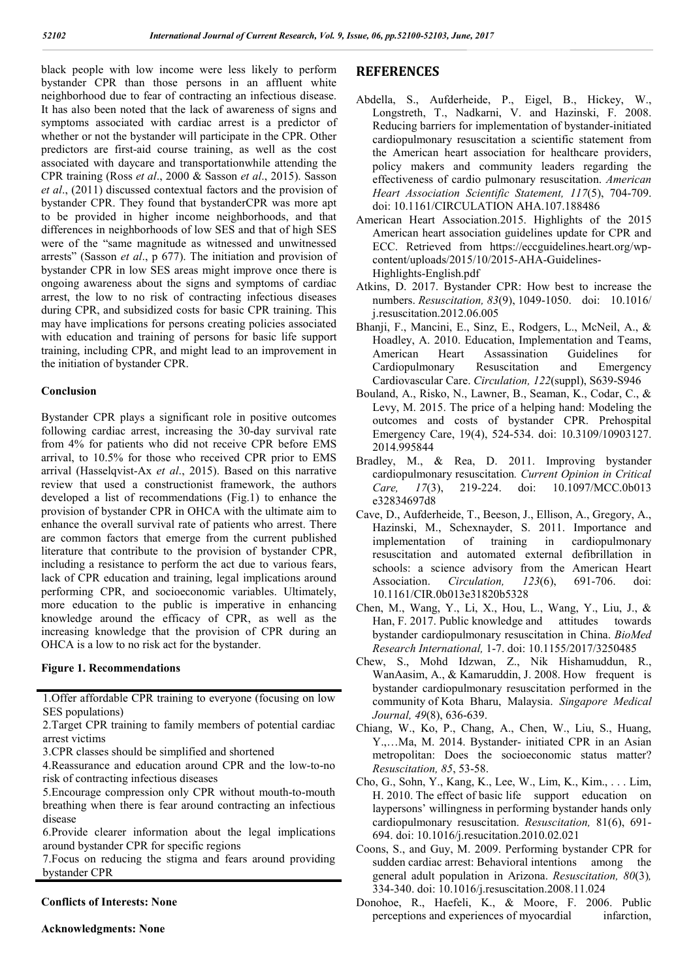black people with low income were less likely to perform bystander CPR than those persons in an affluent white neighborhood due to fear of contracting an infectious disease. It has also been noted that the lack of awareness of signs and symptoms associated with cardiac arrest is a predictor of whether or not the bystander will participate in the CPR. Other predictors are first-aid course training, as well as the cost associated with daycare and transportationwhile attending the CPR training (Ross *et al*., 2000 & Sasson *et al*., 2015). Sasson *et al*., (2011) discussed contextual factors and the provision of bystander CPR. They found that bystanderCPR was more apt to be provided in higher income neighborhoods, and that differences in neighborhoods of low SES and that of high SES were of the "same magnitude as witnessed and unwitnessed arrests" (Sasson *et al*., p 677). The initiation and provision of bystander CPR in low SES areas might improve once there is ongoing awareness about the signs and symptoms of cardiac arrest, the low to no risk of contracting infectious diseases during CPR, and subsidized costs for basic CPR training. This may have implications for persons creating policies associated with education and training of persons for basic life support training, including CPR, and might lead to an improvement in the initiation of bystander CPR.

#### **Conclusion**

Bystander CPR plays a significant role in positive outcomes following cardiac arrest, increasing the 30-day survival rate from 4% for patients who did not receive CPR before EMS arrival, to 10.5% for those who received CPR prior to EMS arrival (Hasselqvist-Ax *et al*., 2015). Based on this narrative review that used a constructionist framework, the authors developed a list of recommendations (Fig.1) to enhance the provision of bystander CPR in OHCA with the ultimate aim to enhance the overall survival rate of patients who arrest. There are common factors that emerge from the current published literature that contribute to the provision of bystander CPR, including a resistance to perform the act due to various fears, lack of CPR education and training, legal implications around performing CPR, and socioeconomic variables. Ultimately, more education to the public is imperative in enhancing knowledge around the efficacy of CPR, as well as the increasing knowledge that the provision of CPR during an OHCA is a low to no risk act for the bystander.

#### **Figure 1. Recommendations**

1.Offer affordable CPR training to everyone (focusing on low SES populations)

2.Target CPR training to family members of potential cardiac arrest victims

3.CPR classes should be simplified and shortened

4.Reassurance and education around CPR and the low-to-no risk of contracting infectious diseases

5.Encourage compression only CPR without mouth-to-mouth breathing when there is fear around contracting an infectious disease

6.Provide clearer information about the legal implications around bystander CPR for specific regions

7.Focus on reducing the stigma and fears around providing bystander CPR

**Conflicts of Interests: None**

**Acknowledgments: None**

## **REFERENCES**

- Abdella, S., Aufderheide, P., Eigel, B., Hickey, W., Longstreth, T., Nadkarni, V. and Hazinski, F. 2008. Reducing barriers for implementation of bystander-initiated cardiopulmonary resuscitation a scientific statement from the American heart association for healthcare providers, policy makers and community leaders regarding the effectiveness of cardio pulmonary resuscitation. *American Heart Association Scientific Statement, 117*(5), 704-709. doi: 10.1161/CIRCULATION AHA.107.188486
- American Heart Association.2015. Highlights of the 2015 American heart association guidelines update for CPR and ECC. Retrieved from https://eccguidelines.heart.org/wpcontent/uploads/2015/10/2015-AHA-Guidelines-Highlights-English.pdf
- Atkins, D. 2017. Bystander CPR: How best to increase the numbers. *Resuscitation, 83*(9), 1049-1050. doi: 10.1016/ j.resuscitation.2012.06.005
- Bhanji, F., Mancini, E., Sinz, E., Rodgers, L., McNeil, A., & Hoadley, A. 2010. Education, Implementation and Teams, American Heart Assassination Guidelines for Cardiopulmonary Resuscitation and Emergency Cardiovascular Care. *Circulation, 122*(suppl), S639-S946
- Bouland, A., Risko, N., Lawner, B., Seaman, K., Codar, C., & Levy, M. 2015. The price of a helping hand: Modeling the outcomes and costs of bystander CPR. Prehospital Emergency Care, 19(4), 524-534. doi: 10.3109/10903127. 2014.995844
- Bradley, M., & Rea, D. 2011. Improving bystander cardiopulmonary resuscitation*. Current Opinion in Critical Care, 17*(3), 219-224. doi: 10.1097/MCC.0b013 e32834697d8
- Cave, D., Aufderheide, T., Beeson, J., Ellison, A., Gregory, A., Hazinski, M., Schexnayder, S. 2011. Importance and implementation of training in cardiopulmonary resuscitation and automated external defibrillation in schools: a science advisory from the American Heart Association. *Circulation, 123*(6), 691-706. doi: 10.1161/CIR.0b013e31820b5328
- Chen, M., Wang, Y., Li, X., Hou, L., Wang, Y., Liu, J., & Han, F. 2017. Public knowledge and attitudes towards bystander cardiopulmonary resuscitation in China. *BioMed Research International,* 1-7. doi: 10.1155/2017/3250485
- Chew, S., Mohd Idzwan, Z., Nik Hishamuddun, R., WanAasim, A., & Kamaruddin, J. 2008. How frequent is bystander cardiopulmonary resuscitation performed in the community of Kota Bharu, Malaysia. *Singapore Medical Journal, 49*(8), 636-639.
- Chiang, W., Ko, P., Chang, A., Chen, W., Liu, S., Huang, Y.,…Ma, M. 2014. Bystander- initiated CPR in an Asian metropolitan: Does the socioeconomic status matter? *Resuscitation, 85*, 53-58.
- Cho, G., Sohn, Y., Kang, K., Lee, W., Lim, K., Kim., . . . Lim, H. 2010. The effect of basic life support education on laypersons' willingness in performing bystander hands only cardiopulmonary resuscitation. *Resuscitation,* 81(6), 691- 694. doi: 10.1016/j.resucitation.2010.02.021
- Coons, S., and Guy, M. 2009. Performing bystander CPR for sudden cardiac arrest: Behavioral intentions among the general adult population in Arizona. *Resuscitation, 80*(3)*,*  334-340. doi: 10.1016/j.resuscitation.2008.11.024
- Donohoe, R., Haefeli, K., & Moore, F. 2006. Public perceptions and experiences of myocardial infarction,